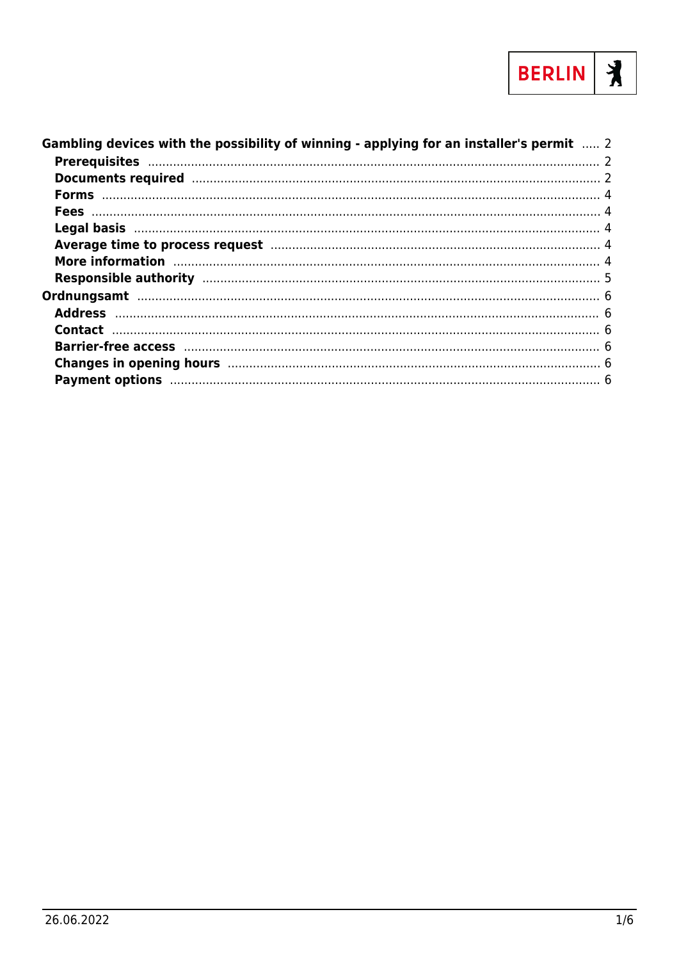

| Gambling devices with the possibility of winning - applying for an installer's permit  2                                                                                                                                       |  |
|--------------------------------------------------------------------------------------------------------------------------------------------------------------------------------------------------------------------------------|--|
|                                                                                                                                                                                                                                |  |
| Documents required manufactured and 2                                                                                                                                                                                          |  |
|                                                                                                                                                                                                                                |  |
|                                                                                                                                                                                                                                |  |
|                                                                                                                                                                                                                                |  |
| Average time to process request manufacture and a series of 4                                                                                                                                                                  |  |
| More information manufactured and a series of the state of the state of the state of the state of the state of                                                                                                                 |  |
|                                                                                                                                                                                                                                |  |
|                                                                                                                                                                                                                                |  |
|                                                                                                                                                                                                                                |  |
|                                                                                                                                                                                                                                |  |
|                                                                                                                                                                                                                                |  |
| Changes in opening hours manufactured and the control of the control of the changes in opening hours                                                                                                                           |  |
| Payment options manufactured and control of the control of the control of the control of the control of the control of the control of the control of the control of the control of the control of the control of the control o |  |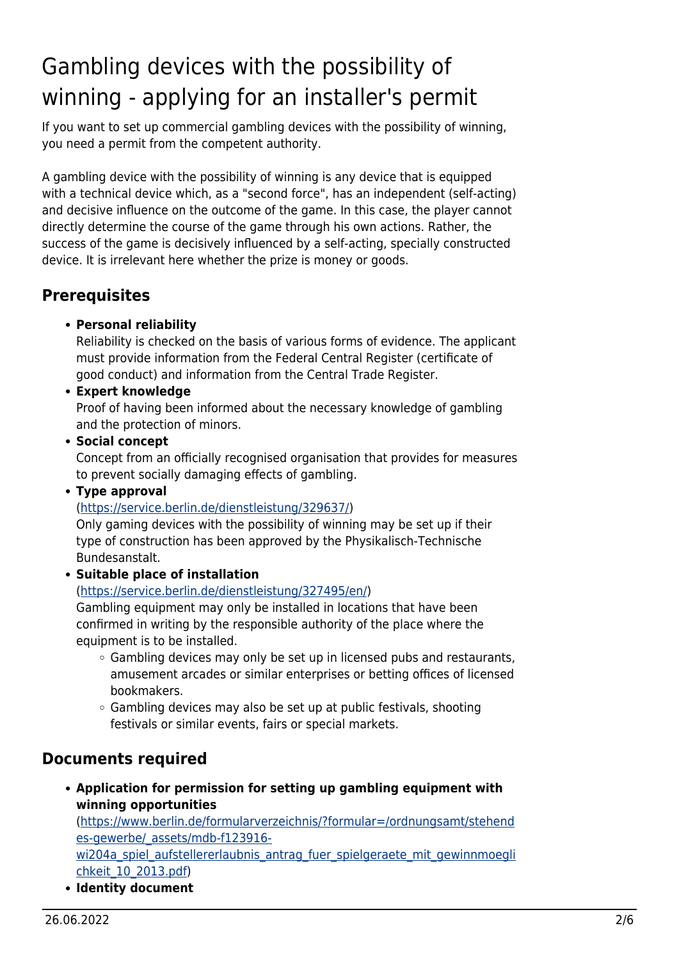# <span id="page-1-0"></span>Gambling devices with the possibility of winning - applying for an installer's permit

If you want to set up commercial gambling devices with the possibility of winning, you need a permit from the competent authority.

A gambling device with the possibility of winning is any device that is equipped with a technical device which, as a "second force", has an independent (self-acting) and decisive influence on the outcome of the game. In this case, the player cannot directly determine the course of the game through his own actions. Rather, the success of the game is decisively influenced by a self-acting, specially constructed device. It is irrelevant here whether the prize is money or goods.

## <span id="page-1-1"></span>**Prerequisites**

### **Personal reliability**

Reliability is checked on the basis of various forms of evidence. The applicant must provide information from the Federal Central Register (certificate of good conduct) and information from the Central Trade Register.

### **Expert knowledge**

Proof of having been informed about the necessary knowledge of gambling and the protection of minors.

**• Social concept** 

Concept from an officially recognised organisation that provides for measures to prevent socially damaging effects of gambling.

**Type approval**

(<https://service.berlin.de/dienstleistung/329637/>)

Only gaming devices with the possibility of winning may be set up if their type of construction has been approved by the Physikalisch-Technische Bundesanstalt.

**Suitable place of installation**

### ([https://service.berlin.de/dienstleistung/327495/en/\)](https://service.berlin.de/dienstleistung/327495/en/)

Gambling equipment may only be installed in locations that have been confirmed in writing by the responsible authority of the place where the equipment is to be installed.

- o Gambling devices may only be set up in licensed pubs and restaurants, amusement arcades or similar enterprises or betting offices of licensed bookmakers.
- $\circ$  Gambling devices may also be set up at public festivals, shooting festivals or similar events, fairs or special markets.

### <span id="page-1-2"></span>**Documents required**

**Application for permission for setting up gambling equipment with winning opportunities**

([https://www.berlin.de/formularverzeichnis/?formular=/ordnungsamt/stehend](https://www.berlin.de/formularverzeichnis/?formular=/ordnungsamt/stehendes-gewerbe/_assets/mdb-f123916-wi204a_spiel_aufstellererlaubnis_antrag_fuer_spielgeraete_mit_gewinnmoeglichkeit_10_2013.pdf) [es-gewerbe/\\_assets/mdb-f123916-](https://www.berlin.de/formularverzeichnis/?formular=/ordnungsamt/stehendes-gewerbe/_assets/mdb-f123916-wi204a_spiel_aufstellererlaubnis_antrag_fuer_spielgeraete_mit_gewinnmoeglichkeit_10_2013.pdf)

wi204a spiel aufstellererlaubnis antrag fuer spielgeraete mit gewinnmoegli [chkeit\\_10\\_2013.pdf\)](https://www.berlin.de/formularverzeichnis/?formular=/ordnungsamt/stehendes-gewerbe/_assets/mdb-f123916-wi204a_spiel_aufstellererlaubnis_antrag_fuer_spielgeraete_mit_gewinnmoeglichkeit_10_2013.pdf)

**Identity document**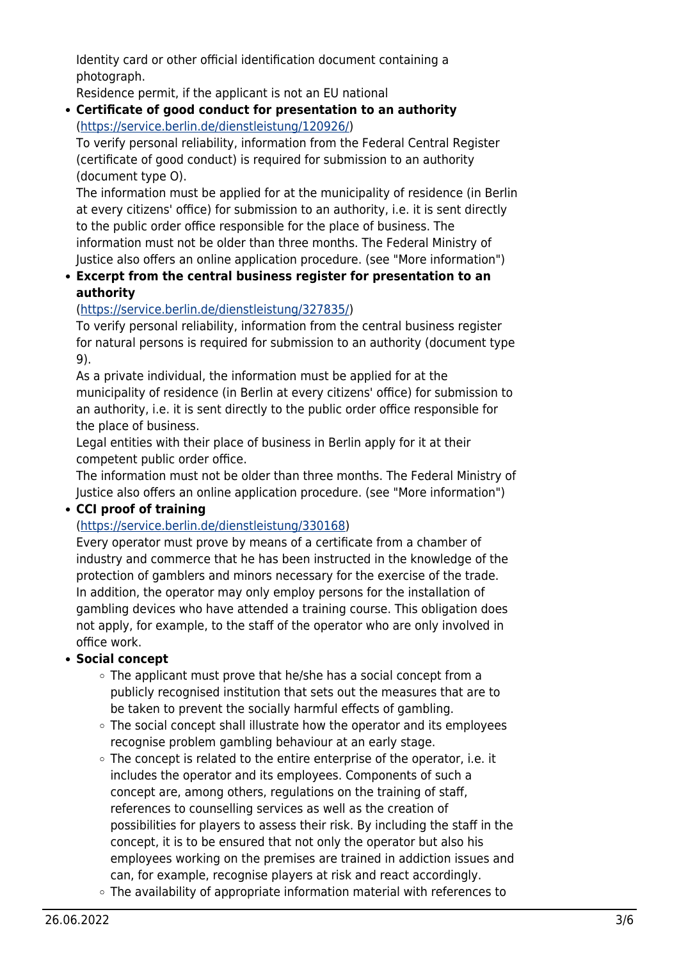Identity card or other official identification document containing a photograph.

Residence permit, if the applicant is not an EU national

#### **Certificate of good conduct for presentation to an authority** (<https://service.berlin.de/dienstleistung/120926/>)

To verify personal reliability, information from the Federal Central Register (certificate of good conduct) is required for submission to an authority (document type O).

The information must be applied for at the municipality of residence (in Berlin at every citizens' office) for submission to an authority, i.e. it is sent directly to the public order office responsible for the place of business. The information must not be older than three months. The Federal Ministry of Justice also offers an online application procedure. (see "More information")

#### **Excerpt from the central business register for presentation to an authority**

### (<https://service.berlin.de/dienstleistung/327835/>)

To verify personal reliability, information from the central business register for natural persons is required for submission to an authority (document type 9).

As a private individual, the information must be applied for at the municipality of residence (in Berlin at every citizens' office) for submission to an authority, i.e. it is sent directly to the public order office responsible for the place of business.

Legal entities with their place of business in Berlin apply for it at their competent public order office.

The information must not be older than three months. The Federal Ministry of Justice also offers an online application procedure. (see "More information")

### **CCI proof of training**

### ([https://service.berlin.de/dienstleistung/330168\)](https://service.berlin.de/dienstleistung/330168)

Every operator must prove by means of a certificate from a chamber of industry and commerce that he has been instructed in the knowledge of the protection of gamblers and minors necessary for the exercise of the trade. In addition, the operator may only employ persons for the installation of gambling devices who have attended a training course. This obligation does not apply, for example, to the staff of the operator who are only involved in office work.

### **Social concept**

- The applicant must prove that he/she has a social concept from a publicly recognised institution that sets out the measures that are to be taken to prevent the socially harmful effects of gambling.
- The social concept shall illustrate how the operator and its employees recognise problem gambling behaviour at an early stage.
- $\circ$  The concept is related to the entire enterprise of the operator, i.e. it includes the operator and its employees. Components of such a concept are, among others, regulations on the training of staff, references to counselling services as well as the creation of possibilities for players to assess their risk. By including the staff in the concept, it is to be ensured that not only the operator but also his employees working on the premises are trained in addiction issues and can, for example, recognise players at risk and react accordingly.
- The availability of appropriate information material with references to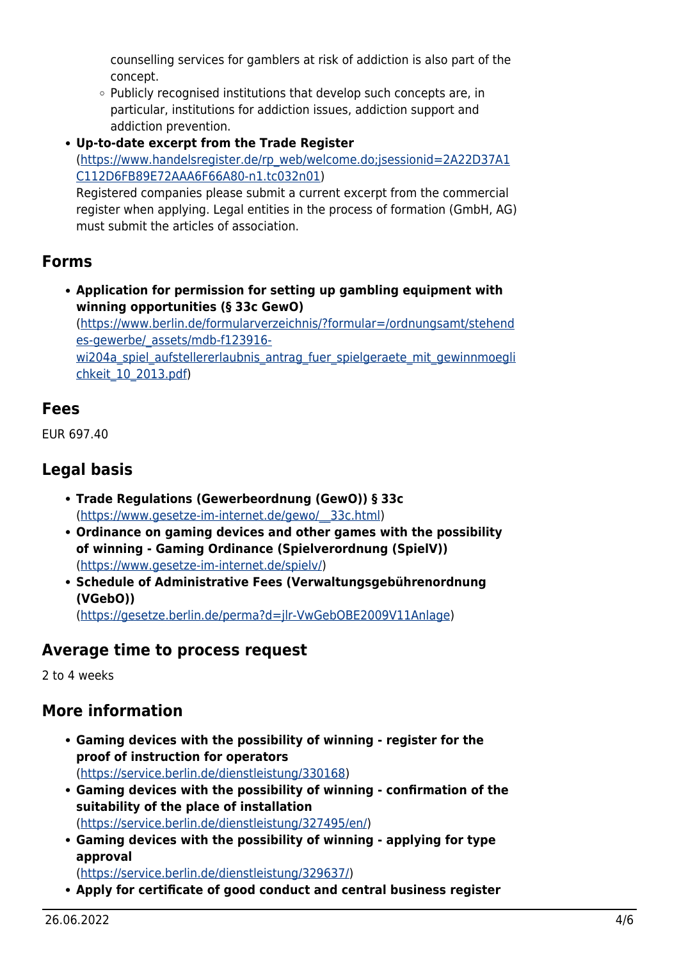counselling services for gamblers at risk of addiction is also part of the concept.

 $\circ$  Publicly recognised institutions that develop such concepts are, in particular, institutions for addiction issues, addiction support and addiction prevention.

**Up-to-date excerpt from the Trade Register** ([https://www.handelsregister.de/rp\\_web/welcome.do;jsessionid=2A22D37A1](https://www.handelsregister.de/rp_web/welcome.do;jsessionid=2A22D37A1C112D6FB89E72AAA6F66A80-n1.tc032n01) [C112D6FB89E72AAA6F66A80-n1.tc032n01](https://www.handelsregister.de/rp_web/welcome.do;jsessionid=2A22D37A1C112D6FB89E72AAA6F66A80-n1.tc032n01)) Registered companies please submit a current excerpt from the commercial

register when applying. Legal entities in the process of formation (GmbH, AG) must submit the articles of association.

## <span id="page-3-0"></span>**Forms**

**Application for permission for setting up gambling equipment with winning opportunities (§ 33c GewO)** ([https://www.berlin.de/formularverzeichnis/?formular=/ordnungsamt/stehend](https://www.berlin.de/formularverzeichnis/?formular=/ordnungsamt/stehendes-gewerbe/_assets/mdb-f123916-wi204a_spiel_aufstellererlaubnis_antrag_fuer_spielgeraete_mit_gewinnmoeglichkeit_10_2013.pdf) [es-gewerbe/\\_assets/mdb-f123916](https://www.berlin.de/formularverzeichnis/?formular=/ordnungsamt/stehendes-gewerbe/_assets/mdb-f123916-wi204a_spiel_aufstellererlaubnis_antrag_fuer_spielgeraete_mit_gewinnmoeglichkeit_10_2013.pdf) wi204a spiel aufstellererlaubnis antrag fuer spielgeraete mit gewinnmoegli [chkeit\\_10\\_2013.pdf\)](https://www.berlin.de/formularverzeichnis/?formular=/ordnungsamt/stehendes-gewerbe/_assets/mdb-f123916-wi204a_spiel_aufstellererlaubnis_antrag_fuer_spielgeraete_mit_gewinnmoeglichkeit_10_2013.pdf)

# <span id="page-3-1"></span>**Fees**

EUR 697.40

# <span id="page-3-2"></span>**Legal basis**

- **Trade Regulations (Gewerbeordnung (GewO)) § 33c** ([https://www.gesetze-im-internet.de/gewo/\\_\\_33c.html\)](https://www.gesetze-im-internet.de/gewo/__33c.html)
- **Ordinance on gaming devices and other games with the possibility of winning - Gaming Ordinance (Spielverordnung (SpielV))** (<https://www.gesetze-im-internet.de/spielv/>)
- **Schedule of Administrative Fees (Verwaltungsgebührenordnung (VGebO))** ([https://gesetze.berlin.de/perma?d=jlr-VwGebOBE2009V11Anlage\)](https://gesetze.berlin.de/perma?d=jlr-VwGebOBE2009V11Anlage)

# <span id="page-3-3"></span>**Average time to process request**

2 to 4 weeks

# <span id="page-3-4"></span>**More information**

- **Gaming devices with the possibility of winning register for the proof of instruction for operators** ([https://service.berlin.de/dienstleistung/330168\)](https://service.berlin.de/dienstleistung/330168)
- **Gaming devices with the possibility of winning confirmation of the suitability of the place of installation** ([https://service.berlin.de/dienstleistung/327495/en/\)](https://service.berlin.de/dienstleistung/327495/en/)
- **Gaming devices with the possibility of winning applying for type approval**

(<https://service.berlin.de/dienstleistung/329637/>)

**Apply for certificate of good conduct and central business register**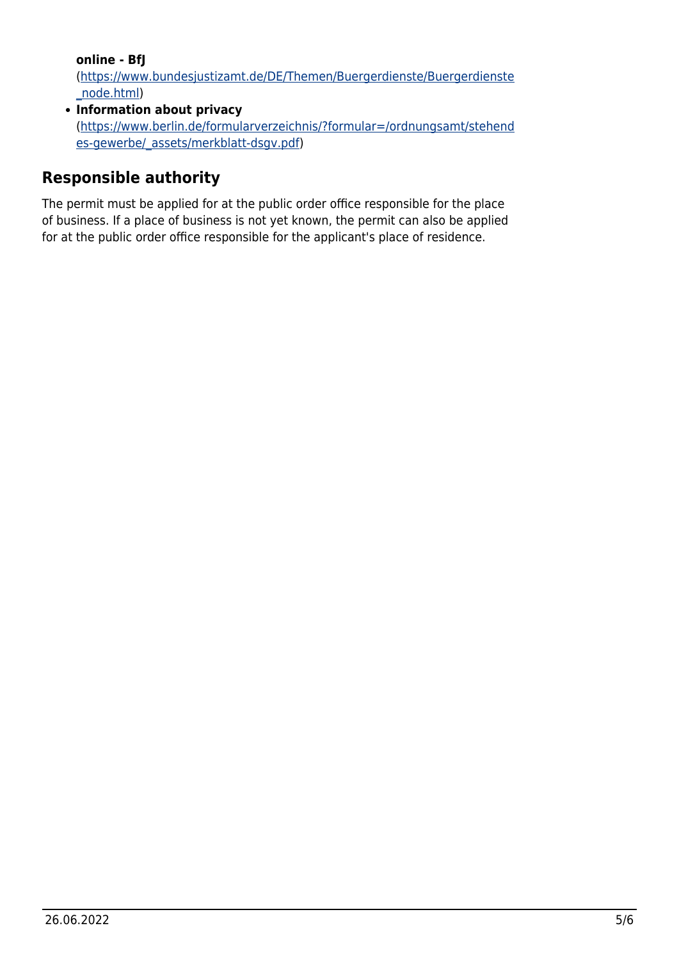**online - BfJ**

([https://www.bundesjustizamt.de/DE/Themen/Buergerdienste/Buergerdienste](https://www.bundesjustizamt.de/DE/Themen/Buergerdienste/Buergerdienste_node.html) [\\_node.html](https://www.bundesjustizamt.de/DE/Themen/Buergerdienste/Buergerdienste_node.html))

**Information about privacy** ([https://www.berlin.de/formularverzeichnis/?formular=/ordnungsamt/stehend](https://www.berlin.de/formularverzeichnis/?formular=/ordnungsamt/stehendes-gewerbe/_assets/merkblatt-dsgv.pdf) [es-gewerbe/\\_assets/merkblatt-dsgv.pdf\)](https://www.berlin.de/formularverzeichnis/?formular=/ordnungsamt/stehendes-gewerbe/_assets/merkblatt-dsgv.pdf)

# <span id="page-4-0"></span>**Responsible authority**

The permit must be applied for at the public order office responsible for the place of business. If a place of business is not yet known, the permit can also be applied for at the public order office responsible for the applicant's place of residence.